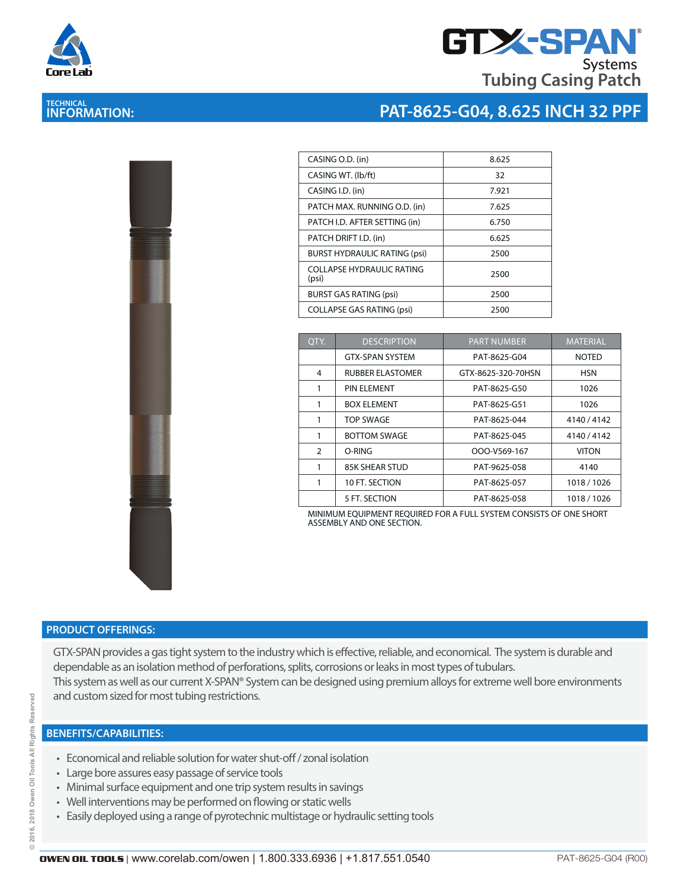

**TECHNICAL INFORMATION:** 

#### **GTX-SPA Tubing Casing Patch Systems**

## **PAT-8625-G04, 8.625 INCH 32 PPF**

| CASING O.D. (in)                    | 8.625 |
|-------------------------------------|-------|
| CASING WT. (lb/ft)                  | 32    |
| CASING I.D. (in)                    | 7.921 |
| PATCH MAX. RUNNING O.D. (in)        | 7.625 |
| PATCH I.D. AFTER SETTING (in)       | 6.750 |
| PATCH DRIFT I.D. (in)               | 6.625 |
| <b>BURST HYDRAULIC RATING (psi)</b> | 2500  |
| COLLAPSE HYDRAULIC RATING<br>(psi)  | 2500  |
| <b>BURST GAS RATING (psi)</b>       | 2500  |
| <b>COLLAPSE GAS RATING (psi)</b>    | 2500  |
|                                     |       |

| OTY.           | <b>DESCRIPTION</b>      | <b>PART NUMBER</b> | <b>MATERIAL</b> |
|----------------|-------------------------|--------------------|-----------------|
|                | <b>GTX-SPAN SYSTEM</b>  | PAT-8625-G04       | <b>NOTED</b>    |
| 4              | <b>RUBBER ELASTOMER</b> | GTX-8625-320-70HSN | <b>HSN</b>      |
| 1              | PIN ELEMENT             | PAT-8625-G50       | 1026            |
| 1              | <b>BOX ELEMENT</b>      | PAT-8625-G51       | 1026            |
|                | <b>TOP SWAGE</b>        | PAT-8625-044       | 4140/4142       |
| 1              | <b>BOTTOM SWAGE</b>     | PAT-8625-045       | 4140/4142       |
| $\overline{2}$ | O-RING                  | OOO-V569-167       | <b>VITON</b>    |
| 1              | <b>85K SHEAR STUD</b>   | PAT-9625-058       | 4140            |
|                | 10 FT. SECTION          | PAT-8625-057       | 1018 / 1026     |
|                | 5 FT. SECTION           | PAT-8625-058       | 1018 / 1026     |

MINIMUM EQUIPMENT REQUIRED FOR A FULL SYSTEM CONSISTS OF ONE SHORT ASSEMBLY AND ONE SECTION.

#### **PRODUCT OFFERINGS:**

GTX-SPAN provides a gas tight system to the industry which is effective, reliable, and economical. The system is durable and dependable as an isolation method of perforations, splits, corrosions or leaks in most types of tubulars. This system as well as our current X-SPAN® System can be designed using premium alloys for extreme well bore environments and custom sized for most tubing restrictions.

- Economical and reliable solution for water shut-off / zonal isolation
- Large bore assures easy passage of service tools
- Minimal surface equipment and one trip system results in savings
- Well interventions may be performed on flowing or static wells
- Easily deployed using a range of pyrotechnic multistage or hydraulic setting tools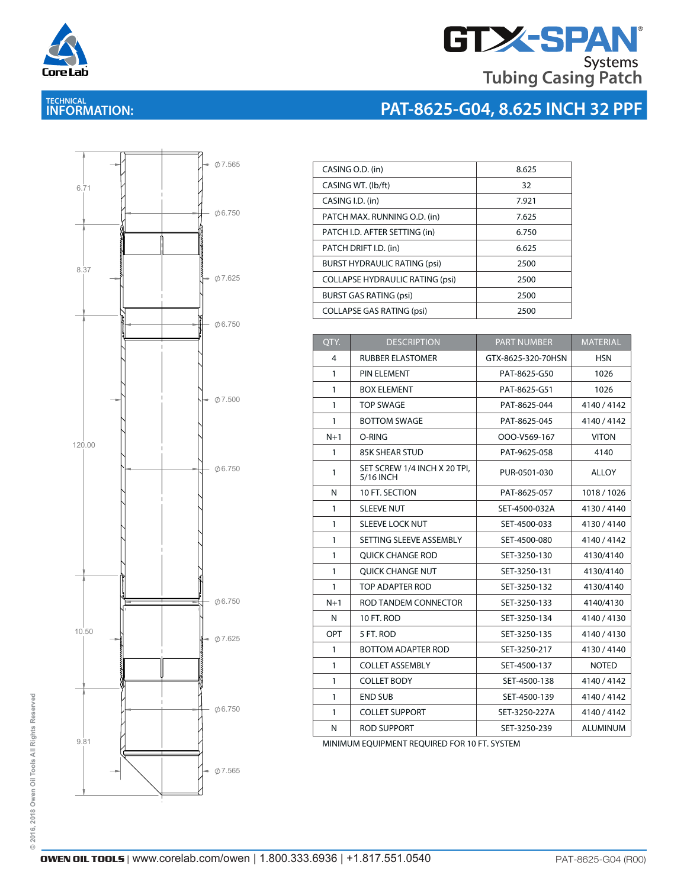

# **GTX-SPAN Tubing Casing Patch**

**PAT-8625-G04, 8.625 INCH 32 PPF**

### **TECHNICAL INFORMATION:**



| CASING O.D. (in)                       | 8.625 |
|----------------------------------------|-------|
| CASING WT. (lb/ft)                     | 32    |
| CASING I.D. (in)                       | 7.921 |
| PATCH MAX. RUNNING O.D. (in)           | 7.625 |
| PATCH I.D. AFTER SETTING (in)          | 6.750 |
| PATCH DRIFT I.D. (in)                  | 6.625 |
| <b>BURST HYDRAULIC RATING (psi)</b>    | 2500  |
| <b>COLLAPSE HYDRAULIC RATING (psi)</b> | 2500  |
| <b>BURST GAS RATING (psi)</b>          | 2500  |
| <b>COLLAPSE GAS RATING (psi)</b>       | 2500  |
|                                        |       |

| QTY.         | <b>DESCRIPTION</b>                        | <b>PART NUMBER</b> | <b>MATERIAL</b> |
|--------------|-------------------------------------------|--------------------|-----------------|
| 4            | <b>RUBBER ELASTOMER</b>                   | GTX-8625-320-70HSN | <b>HSN</b>      |
| 1            | PIN ELEMENT                               | PAT-8625-G50       | 1026            |
| 1            | <b>BOX ELEMENT</b>                        | PAT-8625-G51       | 1026            |
| 1            | <b>TOP SWAGE</b>                          | PAT-8625-044       | 4140/4142       |
| $\mathbf{1}$ | <b>BOTTOM SWAGE</b>                       | PAT-8625-045       | 4140/4142       |
| $N+1$        | O-RING                                    | OOO-V569-167       | <b>VITON</b>    |
| 1            | <b>85K SHEAR STUD</b>                     | PAT-9625-058       | 4140            |
| 1            | SET SCREW 1/4 INCH X 20 TPI.<br>5/16 INCH | PUR-0501-030       | ALLOY           |
| N            | 10 FT. SECTION                            | PAT-8625-057       | 1018/1026       |
| $\mathbf{1}$ | <b>SLEEVE NUT</b>                         | SET-4500-032A      | 4130/4140       |
| $\mathbf{1}$ | <b>SLEEVE LOCK NUT</b>                    | SET-4500-033       | 4130/4140       |
| 1            | SETTING SLEEVE ASSEMBLY                   | SET-4500-080       | 4140/4142       |
| 1            | <b>OUICK CHANGE ROD</b>                   | SET-3250-130       | 4130/4140       |
| $\mathbf{1}$ | <b>OUICK CHANGE NUT</b>                   | SET-3250-131       | 4130/4140       |
| 1            | TOP ADAPTER ROD                           | SET-3250-132       | 4130/4140       |
| $N+1$        | ROD TANDEM CONNECTOR                      | SET-3250-133       | 4140/4130       |
| N            | 10 FT. ROD                                | SET-3250-134       | 4140/4130       |
| OPT          | 5 FT. ROD                                 | SET-3250-135       | 4140/4130       |
| 1            | <b>BOTTOM ADAPTER ROD</b>                 | SET-3250-217       | 4130/4140       |
| 1            | <b>COLLET ASSEMBLY</b>                    | SET-4500-137       | <b>NOTED</b>    |
| $\mathbf{1}$ | <b>COLLET BODY</b>                        | SET-4500-138       | 4140/4142       |
| $\mathbf{1}$ | <b>END SUB</b>                            | SET-4500-139       | 4140/4142       |
| $\mathbf{1}$ | <b>COLLET SUPPORT</b>                     | SET-3250-227A      | 4140/4142       |
| N            | <b>ROD SUPPORT</b>                        | SET-3250-239       | <b>ALUMINUM</b> |

MINIMUM EQUIPMENT REQUIRED FOR 10 FT. SYSTEM